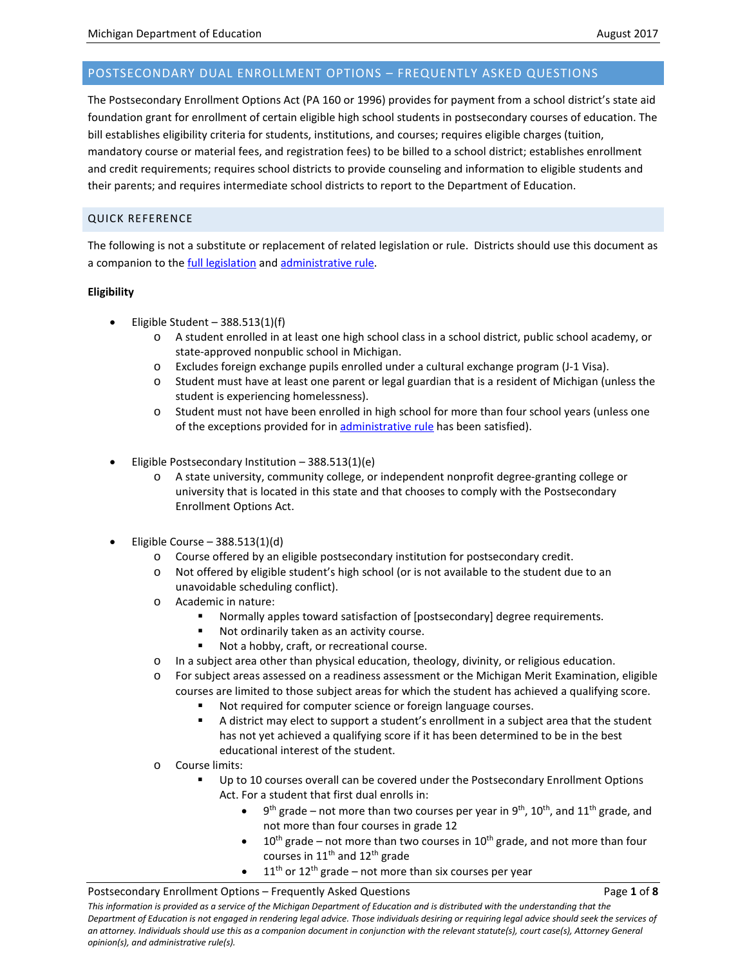# POSTSECONDARY DUAL ENROLLMENT OPTIONS – FREQUENTLY ASKED QUESTIONS

The Postsecondary Enrollment Options Act (PA 160 or 1996) provides for payment from a school district's state aid foundation grant for enrollment of certain eligible high school students in postsecondary courses of education. The bill establishes eligibility criteria for students, institutions, and courses; requires eligible charges (tuition, mandatory course or material fees, and registration fees) to be billed to a school district; establishes enrollment and credit requirements; requires school districts to provide counseling and information to eligible students and their parents; and requires intermediate school districts to report to the Department of Education.

# QUICK REFERENCE

The following is not a substitute or replacement of related legislation or rule. Districts should use this document as a companion to th[e full legislation](https://goo.gl/eMnwuH) and [administrative rule.](https://goo.gl/yqJxdD)

## **Eligibility**

- Eligible Student  $-388.513(1)(f)$ 
	- o A student enrolled in at least one high school class in a school district, public school academy, or state-approved nonpublic school in Michigan.
	- o Excludes foreign exchange pupils enrolled under a cultural exchange program (J-1 Visa).
	- o Student must have at least one parent or legal guardian that is a resident of Michigan (unless the student is experiencing homelessness).
	- o Student must not have been enrolled in high school for more than four school years (unless one of the exceptions provided for in [administrative rule](https://goo.gl/yqJxdD) has been satisfied).
- Eligible Postsecondary Institution 388.513(1)(e)
	- o A state university, community college, or independent nonprofit degree-granting college or university that is located in this state and that chooses to comply with the Postsecondary Enrollment Options Act.
- Eligible Course  $-388.513(1)(d)$ 
	- o Course offered by an eligible postsecondary institution for postsecondary credit.
	- o Not offered by eligible student's high school (or is not available to the student due to an unavoidable scheduling conflict).
	- o Academic in nature:
		- Normally apples toward satisfaction of [postsecondary] degree requirements.
		- Not ordinarily taken as an activity course.
		- Not a hobby, craft, or recreational course.
	- o In a subject area other than physical education, theology, divinity, or religious education.
	- o For subject areas assessed on a readiness assessment or the Michigan Merit Examination, eligible courses are limited to those subject areas for which the student has achieved a qualifying score.
		- Not required for computer science or foreign language courses.
		- A district may elect to support a student's enrollment in a subject area that the student has not yet achieved a qualifying score if it has been determined to be in the best educational interest of the student.
	- o Course limits:
		- Up to 10 courses overall can be covered under the Postsecondary Enrollment Options Act. For a student that first dual enrolls in:
			- $9<sup>th</sup>$  grade not more than two courses per year in  $9<sup>th</sup>$ , 10<sup>th</sup>, and 11<sup>th</sup> grade, and not more than four courses in grade 12
			- $10<sup>th</sup>$  grade not more than two courses in  $10<sup>th</sup>$  grade, and not more than four courses in  $11<sup>th</sup>$  and  $12<sup>th</sup>$  grade
			- $\bullet$  11<sup>th</sup> or 12<sup>th</sup> grade not more than six courses per year

### Postsecondary Enrollment Options – Frequently Asked Questions Page **1** of **8**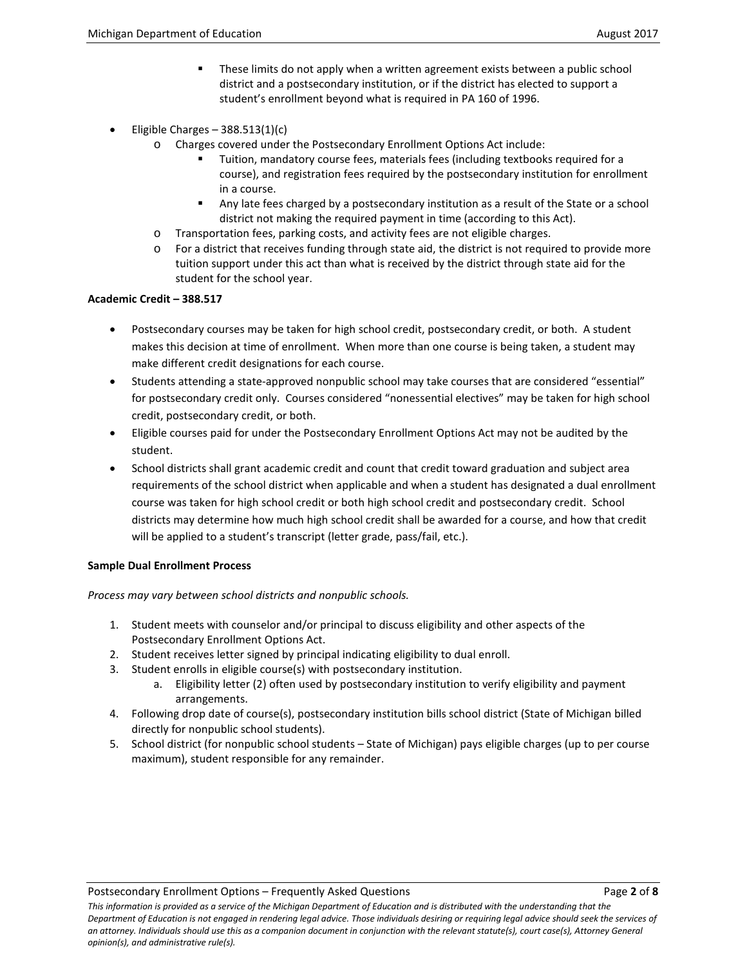- These limits do not apply when a written agreement exists between a public school district and a postsecondary institution, or if the district has elected to support a student's enrollment beyond what is required in PA 160 of 1996.
- Eligible Charges  $-388.513(1)(c)$ 
	- o Charges covered under the Postsecondary Enrollment Options Act include:
		- Tuition, mandatory course fees, materials fees (including textbooks required for a course), and registration fees required by the postsecondary institution for enrollment in a course.
		- Any late fees charged by a postsecondary institution as a result of the State or a school district not making the required payment in time (according to this Act).
	- o Transportation fees, parking costs, and activity fees are not eligible charges.
	- o For a district that receives funding through state aid, the district is not required to provide more tuition support under this act than what is received by the district through state aid for the student for the school year.

## **Academic Credit – 388.517**

- Postsecondary courses may be taken for high school credit, postsecondary credit, or both. A student makes this decision at time of enrollment. When more than one course is being taken, a student may make different credit designations for each course.
- Students attending a state-approved nonpublic school may take courses that are considered "essential" for postsecondary credit only. Courses considered "nonessential electives" may be taken for high school credit, postsecondary credit, or both.
- Eligible courses paid for under the Postsecondary Enrollment Options Act may not be audited by the student.
- School districts shall grant academic credit and count that credit toward graduation and subject area requirements of the school district when applicable and when a student has designated a dual enrollment course was taken for high school credit or both high school credit and postsecondary credit. School districts may determine how much high school credit shall be awarded for a course, and how that credit will be applied to a student's transcript (letter grade, pass/fail, etc.).

## **Sample Dual Enrollment Process**

*Process may vary between school districts and nonpublic schools.*

- 1. Student meets with counselor and/or principal to discuss eligibility and other aspects of the Postsecondary Enrollment Options Act.
- 2. Student receives letter signed by principal indicating eligibility to dual enroll.
- 3. Student enrolls in eligible course(s) with postsecondary institution.
	- a. Eligibility letter (2) often used by postsecondary institution to verify eligibility and payment arrangements.
- 4. Following drop date of course(s), postsecondary institution bills school district (State of Michigan billed directly for nonpublic school students).
- 5. School district (for nonpublic school students State of Michigan) pays eligible charges (up to per course maximum), student responsible for any remainder.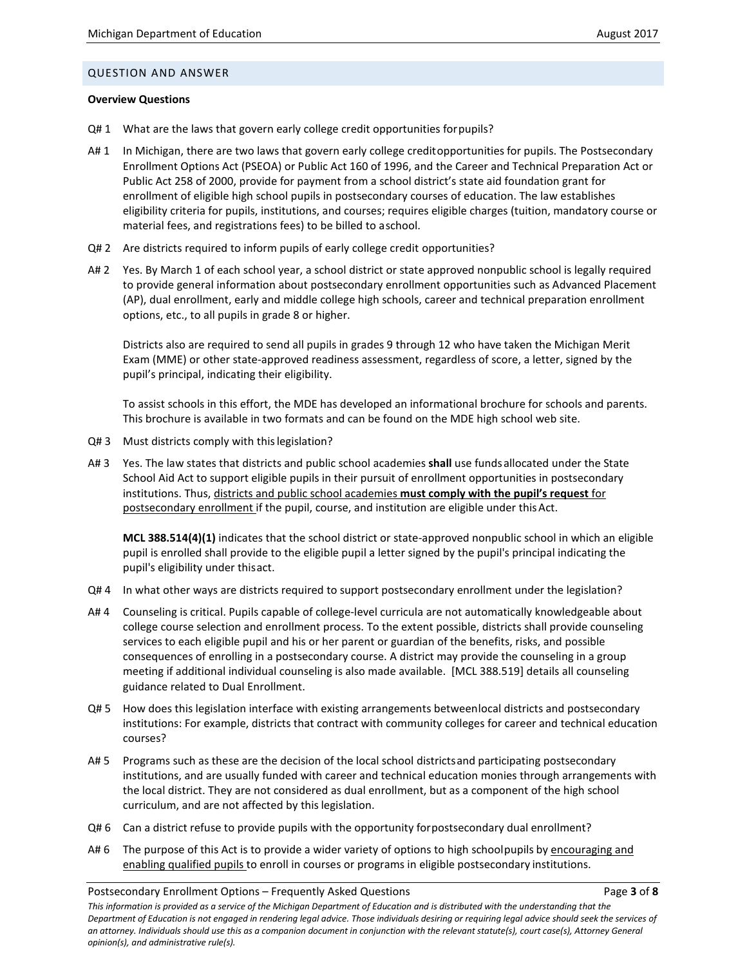### QUESTION AND ANSWER

### **Overview Questions**

- Q# 1 What are the laws that govern early college credit opportunities forpupils?
- A# 1 In Michigan, there are two laws that govern early college creditopportunities for pupils. The Postsecondary Enrollment Options Act (PSEOA) or Public Act 160 of 1996, and the Career and Technical Preparation Act or Public Act 258 of 2000, provide for payment from a school district's state aid foundation grant for enrollment of eligible high school pupils in postsecondary courses of education. The law establishes eligibility criteria for pupils, institutions, and courses; requires eligible charges (tuition, mandatory course or material fees, and registrations fees) to be billed to aschool.
- Q# 2 Are districts required to inform pupils of early college credit opportunities?
- A# 2 Yes. By March 1 of each school year, a school district or state approved nonpublic school is legally required to provide general information about postsecondary enrollment opportunities such as Advanced Placement (AP), dual enrollment, early and middle college high schools, career and technical preparation enrollment options, etc., to all pupils in grade 8 or higher.

Districts also are required to send all pupils in grades 9 through 12 who have taken the Michigan Merit Exam (MME) or other state-approved readiness assessment, regardless of score, a letter, signed by the pupil's principal, indicating their eligibility.

To assist schools in this effort, the MDE has developed an informational brochure for schools and parents. This brochure is available in two formats and can be found on the [MDE high school web site.](http://www.mi.gov/highschool)

- Q#3 Must districts comply with this legislation?
- A# 3 Yes. The law states that districts and public school academies **shall** use fundsallocated under the State School Aid Act to support eligible pupils in their pursuit of enrollment opportunities in postsecondary institutions. Thus, districts and public school academies **must comply with the pupil's request** for postsecondary enrollment if the pupil, course, and institution are eligible under thisAct.

**MCL 388.514(4)(1)** indicates that the school district or state-approved nonpublic school in which an eligible pupil is enrolled shall provide to the eligible pupil a letter signed by the pupil's principal indicating the pupil's eligibility under thisact.

- Q#4 In what other ways are districts required to support postsecondary enrollment under the legislation?
- A# 4 Counseling is critical. Pupils capable of college-level curricula are not automatically knowledgeable about college course selection and enrollment process. To the extent possible, districts shall provide counseling services to each eligible pupil and his or her parent or guardian of the benefits, risks, and possible consequences of enrolling in a postsecondary course. A district may provide the counseling in a group meeting if additional individual counseling is also made available. [\[MCL 388.519\]](http://www.legislature.mi.gov/(S(txc02tq3vxtl4w1vts5nsibo))/mileg.aspx?page=GetObject&objectname=mcl-388-519) details all counseling guidance related to Dual Enrollment.
- Q# 5 How does this legislation interface with existing arrangements betweenlocal districts and postsecondary institutions: For example, districts that contract with community colleges for career and technical education courses?
- A# 5 Programs such as these are the decision of the local school districts and participating postsecondary institutions, and are usually funded with career and technical education monies through arrangements with the local district. They are not considered as dual enrollment, but as a component of the high school curriculum, and are not affected by thislegislation.
- Q#6 Can a district refuse to provide pupils with the opportunity forpostsecondary dual enrollment?
- A# 6 The purpose of this Act is to provide a wider variety of options to high schoolpupils by encouraging and enabling qualified pupils to enroll in courses or programs in eligible postsecondary institutions.

#### Postsecondary Enrollment Options – Frequently Asked Questions Page **3** of **8**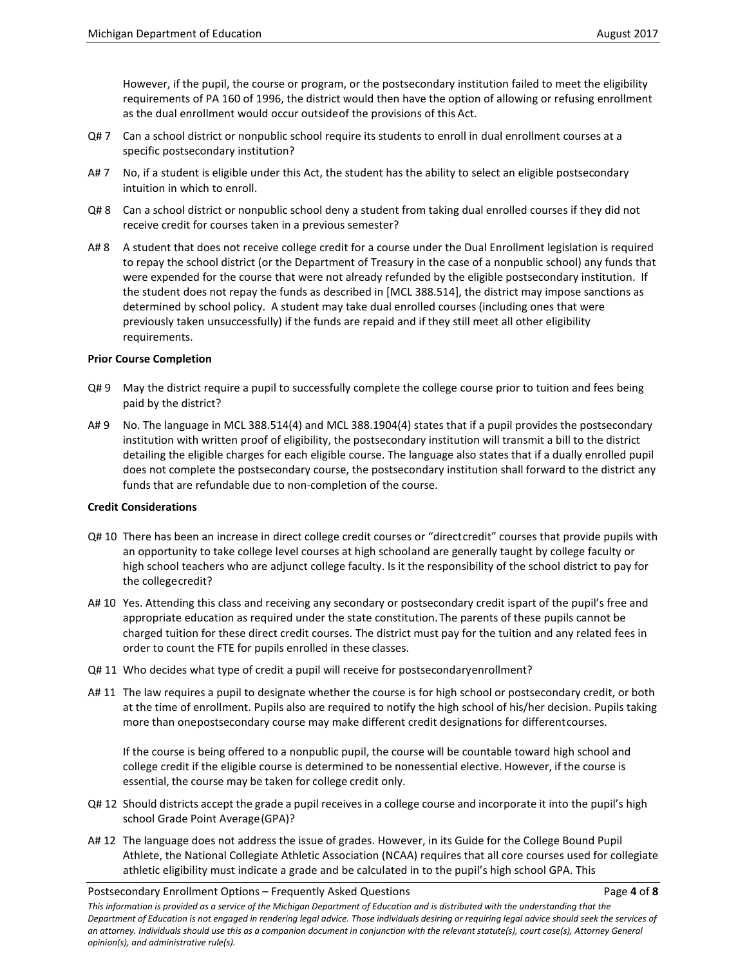However, if the pupil, the course or program, or the postsecondary institution failed to meet the eligibility requirements of PA 160 of 1996, the district would then have the option of allowing or refusing enrollment as the dual enrollment would occur outsideof the provisions of this Act.

- Q# 7 Can a school district or nonpublic school require its students to enroll in dual enrollment courses at a specific postsecondary institution?
- A# 7 No, if a student is eligible under this Act, the student has the ability to select an eligible postsecondary intuition in which to enroll.
- Q# 8 Can a school district or nonpublic school deny a student from taking dual enrolled courses if they did not receive credit for courses taken in a previous semester?
- A# 8 A student that does not receive college credit for a course under the Dual Enrollment legislation is required to repay the school district (or the Department of Treasury in the case of a nonpublic school) any funds that were expended for the course that were not already refunded by the eligible postsecondary institution. If the student does not repay the funds as described in [MCL 388.514], the district may impose sanctions as determined by school policy. A student may take dual enrolled courses (including ones that were previously taken unsuccessfully) if the funds are repaid and if they still meet all other eligibility requirements.

### **Prior Course Completion**

- Q# 9 May the district require a pupil to successfully complete the college course prior to tuition and fees being paid by the district?
- A# 9 No. The language in MCL 388.514(4) and MCL 388.1904(4) states that if a pupil provides the postsecondary institution with written proof of eligibility, the postsecondary institution will transmit a bill to the district detailing the eligible charges for each eligible course. The language also states that if a dually enrolled pupil does not complete the postsecondary course, the postsecondary institution shall forward to the district any funds that are refundable due to non-completion of the course.

### **Credit Considerations**

- Q# 10 There has been an increase in direct college credit courses or "directcredit" courses that provide pupils with an opportunity to take college level courses at high schooland are generally taught by college faculty or high school teachers who are adjunct college faculty. Is it the responsibility of the school district to pay for the collegecredit?
- A# 10 Yes. Attending this class and receiving any secondary or postsecondary credit ispart of the pupil's free and appropriate education as required under the state constitution.The parents of these pupils cannot be charged tuition for these direct credit courses. The district must pay for the tuition and any related fees in order to count the FTE for pupils enrolled in these classes.
- Q# 11 Who decides what type of credit a pupil will receive for postsecondaryenrollment?
- A# 11 The law requires a pupil to designate whether the course is for high school or postsecondary credit, or both at the time of enrollment. Pupils also are required to notify the high school of his/her decision. Pupils taking more than onepostsecondary course may make different credit designations for differentcourses.

If the course is being offered to a nonpublic pupil, the course will be countable toward high school and college credit if the eligible course is determined to be nonessential elective. However, if the course is essential, the course may be taken for college credit only.

- Q# 12 Should districts accept the grade a pupil receives in a college course and incorporate it into the pupil's high school Grade Point Average(GPA)?
- A# 12 The language does not address the issue of grades. However, in its Guide for the College Bound Pupil Athlete, the National Collegiate Athletic Association (NCAA) requires that all core courses used for collegiate athletic eligibility must indicate a grade and be calculated in to the pupil's high school GPA. This

Postsecondary Enrollment Options – Frequently Asked Questions Page **4** of **8**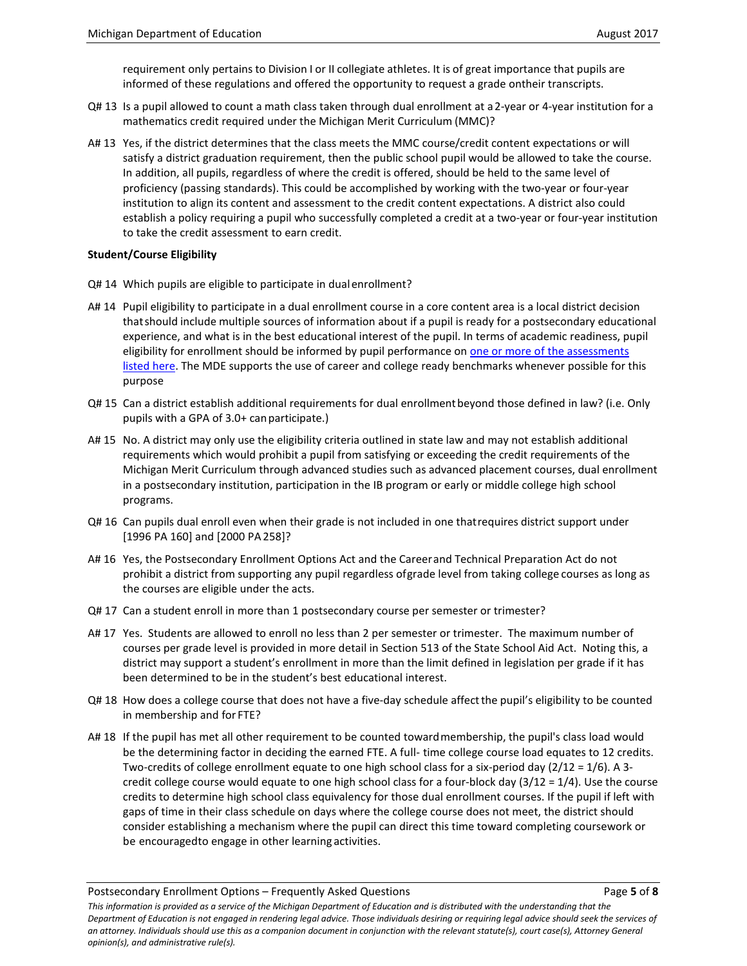requirement only pertains to Division I or II collegiate athletes. It is of great importance that pupils are informed of these regulations and offered the opportunity to request a grade ontheir transcripts.

- Q# 13 Is a pupil allowed to count a math class taken through dual enrollment at a2-year or 4-year institution for a mathematics credit required under the Michigan Merit Curriculum (MMC)?
- A# 13 Yes, if the district determines that the class meets the MMC course/credit content expectations or will satisfy a district graduation requirement, then the public school pupil would be allowed to take the course. In addition, all pupils, regardless of where the credit is offered, should be held to the same level of proficiency (passing standards). This could be accomplished by working with the two-year or four-year institution to align its content and assessment to the credit content expectations. A district also could establish a policy requiring a pupil who successfully completed a credit at a two-year or four-year institution to take the credit assessment to earn credit.

### **Student/Course Eligibility**

- Q# 14 Which pupils are eligible to participate in dualenrollment?
- A# 14 Pupil eligibility to participate in a dual enrollment course in a core content area is a local district decision thatshould include multiple sources of information about if a pupil is ready for a postsecondary educational experience, and what is in the best educational interest of the pupil. In terms of academic readiness, pupil eligibility for enrollment should be informed by pupil performance on [one or more of the assessments](http://www.michigan.gov/documents/mde/Minimum_Dual_Enrollment_Qualifying_Scores_Table_1415_469821_7.pdf)  [listed here.](http://www.michigan.gov/documents/mde/Minimum_Dual_Enrollment_Qualifying_Scores_Table_1415_469821_7.pdf) The MDE supports the use of career and college ready benchmarks whenever possible for this purpose
- Q# 15 Can a district establish additional requirements for dual enrollmentbeyond those defined in law? (i.e. Only pupils with a GPA of 3.0+ canparticipate.)
- A# 15 No. A district may only use the eligibility criteria outlined in state law and may not establish additional requirements which would prohibit a pupil from satisfying or exceeding the credit requirements of the Michigan Merit Curriculum through advanced studies such as advanced placement courses, dual enrollment in a postsecondary institution, participation in the IB program or early or middle college high school programs.
- Q# 16 Can pupils dual enroll even when their grade is not included in one thatrequires district support under [1996 PA 160] and [2000 PA258]?
- A# 16 Yes, the Postsecondary Enrollment Options Act and the Careerand Technical Preparation Act do not prohibit a district from supporting any pupil regardless ofgrade level from taking college courses as long as the courses are eligible under the acts.
- Q# 17 Can a student enroll in more than 1 postsecondary course per semester or trimester?
- A# 17 Yes. Students are allowed to enroll no less than 2 per semester or trimester. The maximum number of courses per grade level is provided in more detail in Section 513 of the State School Aid Act. Noting this, a district may support a student's enrollment in more than the limit defined in legislation per grade if it has been determined to be in the student's best educational interest.
- Q# 18 How does a college course that does not have a five-day schedule affectthe pupil's eligibility to be counted in membership and for FTE?
- A# 18 If the pupil has met all other requirement to be counted towardmembership, the pupil's class load would be the determining factor in deciding the earned FTE. A full- time college course load equates to 12 credits. Two-credits of college enrollment equate to one high school class for a six-period day (2/12 = 1/6). A 3 credit college course would equate to one high school class for a four-block day  $(3/12 = 1/4)$ . Use the course credits to determine high school class equivalency for those dual enrollment courses. If the pupil if left with gaps of time in their class schedule on days where the college course does not meet, the district should consider establishing a mechanism where the pupil can direct this time toward completing coursework or be encouragedto engage in other learning activities.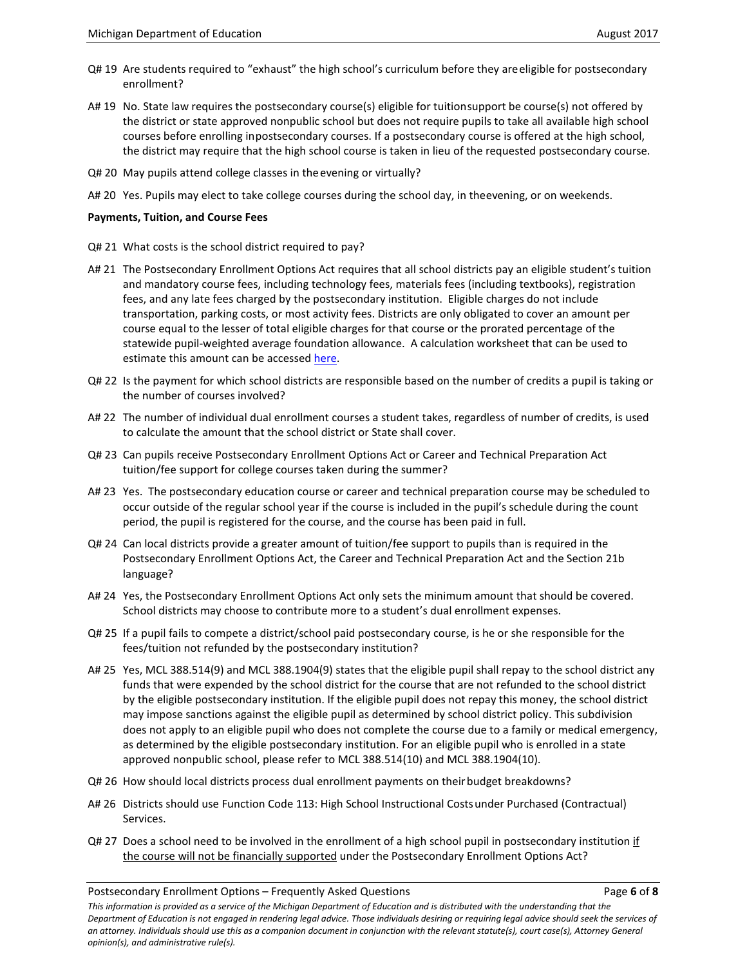- Q# 19 Are students required to "exhaust" the high school's curriculum before they areeligible for postsecondary enrollment?
- A# 19 No. State law requires the postsecondary course(s) eligible for tuitionsupport be course(s) not offered by the district or state approved nonpublic school but does not require pupils to take all available high school courses before enrolling inpostsecondary courses. If a postsecondary course is offered at the high school, the district may require that the high school course is taken in lieu of the requested postsecondary course.
- Q# 20 May pupils attend college classes in theevening or virtually?
- A# 20 Yes. Pupils may elect to take college courses during the school day, in theevening, or on weekends.

## **Payments, Tuition, and Course Fees**

- Q# 21 What costs is the school district required to pay?
- A# 21 The Postsecondary Enrollment Options Act requires that all school districts pay an eligible student's tuition and mandatory course fees, including technology fees, materials fees (including textbooks), registration fees, and any late fees charged by the postsecondary institution. Eligible charges do not include transportation, parking costs, or most activity fees. Districts are only obligated to cover an amount per course equal to the lesser of total eligible charges for that course or the prorated percentage of the statewide pupil-weighted average foundation allowance. A calculation worksheet that can be used to estimate this amount can be accesse[d here.](http://www.michigan.gov/dualenrollment)
- Q# 22 Is the payment for which school districts are responsible based on the number of credits a pupil is taking or the number of courses involved?
- A# 22 The number of individual dual enrollment courses a student takes, regardless of number of credits, is used to calculate the amount that the school district or State shall cover.
- Q# 23 Can pupils receive Postsecondary Enrollment Options Act or Career and Technical Preparation Act tuition/fee support for college courses taken during the summer?
- A# 23 Yes. The postsecondary education course or career and technical preparation course may be scheduled to occur outside of the regular school year if the course is included in the pupil's schedule during the count period, the pupil is registered for the course, and the course has been paid in full.
- Q# 24 Can local districts provide a greater amount of tuition/fee support to pupils than is required in the Postsecondary Enrollment Options Act, the Career and Technical Preparation Act and the Section 21b language?
- A# 24 Yes, the Postsecondary Enrollment Options Act only sets the minimum amount that should be covered. School districts may choose to contribute more to a student's dual enrollment expenses.
- Q# 25 If a pupil fails to compete a district/school paid postsecondary course, is he or she responsible for the fees/tuition not refunded by the postsecondary institution?
- A# 25 Yes, MCL 388.514(9) and MCL 388.1904(9) states that the eligible pupil shall repay to the school district any funds that were expended by the school district for the course that are not refunded to the school district by the eligible postsecondary institution. If the eligible pupil does not repay this money, the school district may impose sanctions against the eligible pupil as determined by school district policy. This subdivision does not apply to an eligible pupil who does not complete the course due to a family or medical emergency, as determined by the eligible postsecondary institution. For an eligible pupil who is enrolled in a state approved nonpublic school, please refer to MCL 388.514(10) and MCL 388.1904(10).
- Q# 26 How should local districts process dual enrollment payments on their budget breakdowns?
- A# 26 Districts should use Function Code 113: High School Instructional Costsunder Purchased (Contractual) Services.
- Q# 27 Does a school need to be involved in the enrollment of a high school pupil in postsecondary institution if the course will not be financially supported under the Postsecondary Enrollment Options Act?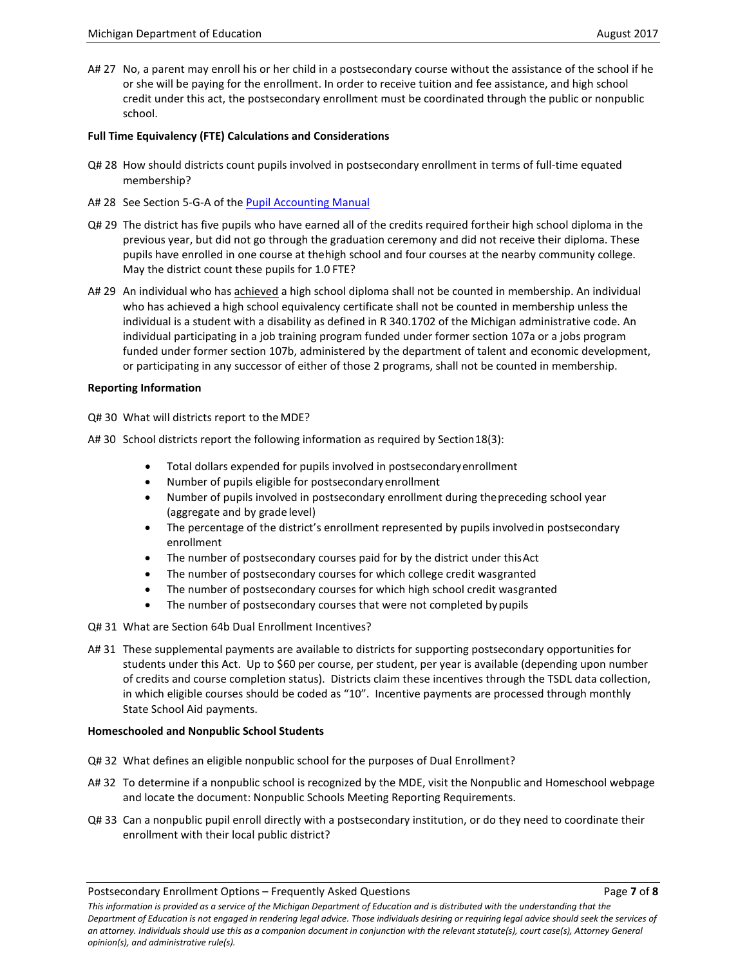A# 27 No, a parent may enroll his or her child in a postsecondary course without the assistance of the school if he or she will be paying for the enrollment. In order to receive tuition and fee assistance, and high school credit under this act, the postsecondary enrollment must be coordinated through the public or nonpublic school.

## **Full Time Equivalency (FTE) Calculations and Considerations**

- Q# 28 How should districts count pupils involved in postsecondary enrollment in terms of full-time equated membership?
- A# 28 See Section 5-G-A of the [Pupil Accounting Manual](http://www.michigan.gov/documents/mde/___2016_PAM_532356_7.pdf)
- Q# 29 The district has five pupils who have earned all of the credits required fortheir high school diploma in the previous year, but did not go through the graduation ceremony and did not receive their diploma. These pupils have enrolled in one course at thehigh school and four courses at the nearby community college. May the district count these pupils for 1.0 FTE?
- A# 29 An individual who has achieved a high school diploma shall not be counted in membership. An individual who has achieved a high school equivalency certificate shall not be counted in membership unless the individual is a student with a disability as defined in R 340.1702 of the Michigan administrative code. An individual participating in a job training program funded under former section 107a or a jobs program funded under former section 107b, administered by the department of talent and economic development, or participating in any successor of either of those 2 programs, shall not be counted in membership.

## **Reporting Information**

- Q# 30 What will districts report to the MDE?
- A# 30 School districts report the following information as required by Section 18(3):
	- Total dollars expended for pupils involved in postsecondaryenrollment
	- Number of pupils eligible for postsecondary enrollment
	- Number of pupils involved in postsecondary enrollment during thepreceding school year (aggregate and by grade level)
	- The percentage of the district's enrollment represented by pupils involvedin postsecondary enrollment
	- The number of postsecondary courses paid for by the district under this Act
	- The number of postsecondary courses for which college credit wasgranted
	- The number of postsecondary courses for which high school credit wasgranted
	- The number of postsecondary courses that were not completed by pupils
- Q# 31 What are Section 64b Dual Enrollment Incentives?
- A# 31 These supplemental payments are available to districts for supporting postsecondary opportunities for students under this Act. Up to \$60 per course, per student, per year is available (depending upon number of credits and course completion status). Districts claim these incentives through the TSDL data collection, in which eligible courses should be coded as "10". Incentive payments are processed through monthly State School Aid payments.

## **Homeschooled and Nonpublic School Students**

- Q# 32 What defines an eligible nonpublic school for the purposes of Dual Enrollment?
- A# 32 To determine if a nonpublic school is recognized by the MDE, visit th[e Nonpublic and Homeschool webpage](http://www.michigan.gov/mde/0,4615,7-140-6530_6569_35175---,00.html) and locate the document: Nonpublic Schools Meeting Reporting Requirements.
- Q# 33 Can a nonpublic pupil enroll directly with a postsecondary institution, or do they need to coordinate their enrollment with their local public district?